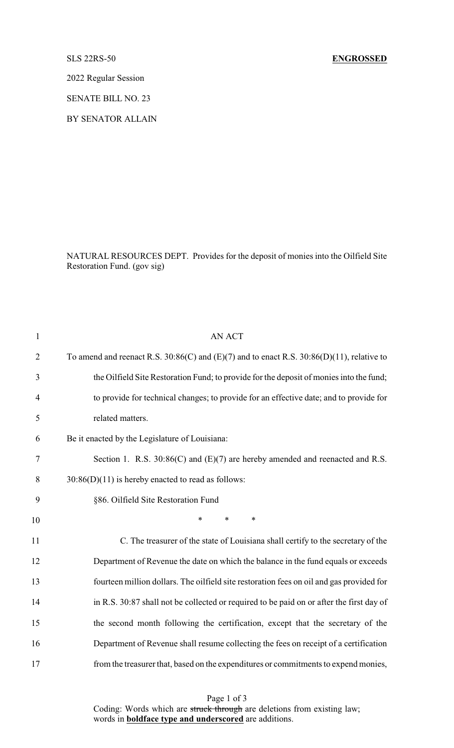## SLS 22RS-50 **ENGROSSED**

2022 Regular Session

SENATE BILL NO. 23

BY SENATOR ALLAIN

NATURAL RESOURCES DEPT. Provides for the deposit of monies into the Oilfield Site Restoration Fund. (gov sig)

| $\mathbf{1}$   | <b>AN ACT</b>                                                                                    |
|----------------|--------------------------------------------------------------------------------------------------|
| $\overline{2}$ | To amend and reenact R.S. $30:86(C)$ and $(E)(7)$ and to enact R.S. $30:86(D)(11)$ , relative to |
| 3              | the Oilfield Site Restoration Fund; to provide for the deposit of monies into the fund;          |
| $\overline{4}$ | to provide for technical changes; to provide for an effective date; and to provide for           |
| 5              | related matters.                                                                                 |
| 6              | Be it enacted by the Legislature of Louisiana:                                                   |
| 7              | Section 1. R.S. $30:86(C)$ and $(E)(7)$ are hereby amended and reenacted and R.S.                |
| 8              | $30:86(D)(11)$ is hereby enacted to read as follows:                                             |
| 9              | §86. Oilfield Site Restoration Fund                                                              |
| 10             | $\ast$<br>*<br>$\ast$                                                                            |
| 11             | C. The treasurer of the state of Louisiana shall certify to the secretary of the                 |
| 12             | Department of Revenue the date on which the balance in the fund equals or exceeds                |
| 13             | fourteen million dollars. The oilfield site restoration fees on oil and gas provided for         |
| 14             | in R.S. 30:87 shall not be collected or required to be paid on or after the first day of         |
| 15             | the second month following the certification, except that the secretary of the                   |
| 16             | Department of Revenue shall resume collecting the fees on receipt of a certification             |
| 17             | from the treasurer that, based on the expenditures or commitments to expend monies,              |

Page 1 of 3 Coding: Words which are struck through are deletions from existing law; words in **boldface type and underscored** are additions.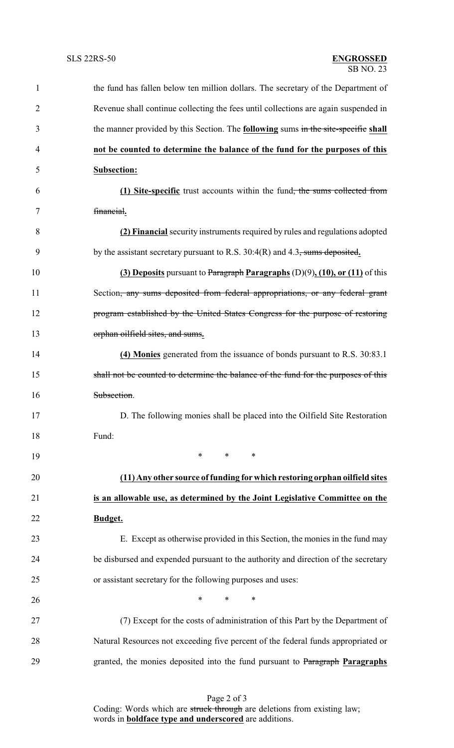| $\mathbf{1}$   | the fund has fallen below ten million dollars. The secretary of the Department of         |
|----------------|-------------------------------------------------------------------------------------------|
| $\overline{2}$ | Revenue shall continue collecting the fees until collections are again suspended in       |
| 3              | the manner provided by this Section. The <b>following</b> sums in the site-specific shall |
| 4              | not be counted to determine the balance of the fund for the purposes of this              |
| 5              | <b>Subsection:</b>                                                                        |
| 6              | (1) Site-specific trust accounts within the fund <del>, the sums collected from</del>     |
| 7              | financial.                                                                                |
| 8              | (2) Financial security instruments required by rules and regulations adopted              |
| 9              | by the assistant secretary pursuant to R.S. $30:4(R)$ and 4.3, sums deposited.            |
| 10             | (3) Deposits pursuant to Paragraph Paragraphs $(D)(9)$ , $(10)$ , or $(11)$ of this       |
| 11             | Section <del>, any sums deposited from federal appropriations, or any federal grant</del> |
| 12             | program established by the United States Congress for the purpose of restoring            |
| 13             | orphan oilfield sites, and sums.                                                          |
| 14             | (4) Monies generated from the issuance of bonds pursuant to R.S. 30:83.1                  |
| 15             | shall not be counted to determine the balance of the fund for the purposes of this        |
| 16             | Subsection.                                                                               |
| 17             | D. The following monies shall be placed into the Oilfield Site Restoration                |
| 18             | Fund:                                                                                     |
| 19             | $*$<br>$*$ and $*$<br>$\ast$                                                              |
| 20             | (11) Any other source of funding for which restoring orphan oilfield sites                |
| 21             | is an allowable use, as determined by the Joint Legislative Committee on the              |
| 22             | Budget.                                                                                   |
| 23             | E. Except as otherwise provided in this Section, the monies in the fund may               |
| 24             | be disbursed and expended pursuant to the authority and direction of the secretary        |
| 25             | or assistant secretary for the following purposes and uses:                               |
| 26             | $\ast$<br>$\ast$<br>∗                                                                     |
| 27             | (7) Except for the costs of administration of this Part by the Department of              |
| 28             | Natural Resources not exceeding five percent of the federal funds appropriated or         |
| 29             | granted, the monies deposited into the fund pursuant to Paragraph Paragraphs              |
|                |                                                                                           |

Page 2 of 3 Coding: Words which are struck through are deletions from existing law; words in **boldface type and underscored** are additions.